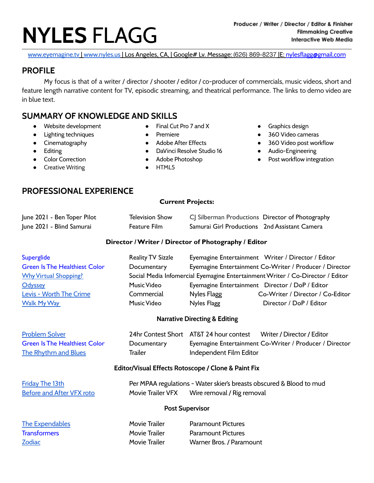# **NYLES** FLAGG

[www.eyemagine.tv](http://www.youtube.com/eyemaginetv) | [www.nyles.us](http://www.nyles.us) | Los Angeles, CA, | Google# Lv. Message: (626) 869-8237 | E: [nylesflagg@gmail.com](mailto:nylesflagg@gmail.com)

## **PROFILE**

My focus is that of a writer / director / shooter / editor / co-producer of commercials, music videos, short and feature length narrative content for TV, episodic streaming, and theatrical performance. The links to demo video are in blue text.

## **SUMMARY OF KNOWLEDGE AND SKILLS**

- Website development
- Lighting techniques
- Cinematography
- Editing
- Color Correction
- **•** Creative Writing
- Final Cut Pro 7 and X ● Premiere
- Adobe After Effects
- DaVinci Resolve Studio 16
- Adobe Photoshop
- HTML5
- Graphics design
- 360 Video cameras
- 360 Video post workflow
- Audio-Engineering
- Post workflow integration

## **PROFESSIONAL EXPERIENCE**

#### **Current Projects:**

| June 2021 - Ben Toper Pilot | <b>Television Show</b> | CJ Silberman Productions Director of Photography |  |
|-----------------------------|------------------------|--------------------------------------------------|--|
| June 2021 - Blind Samurai   | Feature Film           | Samurai Girl Productions 2nd Assistant Camera    |  |

#### **Director /Writer / Director of Photography / Editor**

| Superglide                           | <b>Reality TV Sizzle</b> |             | Eyemagine Entertainment Writer / Director / Editor                             |
|--------------------------------------|--------------------------|-------------|--------------------------------------------------------------------------------|
| <b>Green Is The Healthiest Color</b> | Documentary              |             | Eyemagine Entertainment Co-Writer / Producer / Director                        |
| <b>Why Virtual Shopping?</b>         |                          |             | Social Media Infomercial Eyemagine Entertainment Writer / Co-Director / Editor |
| Odyssey                              | Music Video              |             | Eyemagine Entertainment Director / DoP / Editor                                |
| Levis - Worth The Crime              | Commercial               | Nyles Flagg | Co-Writer / Director / Co-Editor                                               |
| <b>Walk My Way</b>                   | Music Video              | Nyles Flagg | Director / DoP / Editor                                                        |
|                                      |                          |             |                                                                                |

#### **Narrative Directing & Editing**

| <b>Problem Solver</b>                |             | 24hr Contest Short AT&T 24 hour contest | Writer / Director / Editor                              |
|--------------------------------------|-------------|-----------------------------------------|---------------------------------------------------------|
| <b>Green Is The Healthiest Color</b> | Documentary |                                         | Eyemagine Entertainment Co-Writer / Producer / Director |
| <b>The Rhythm and Blues</b>          | Trailer     | Independent Film Editor                 |                                                         |

#### **Editor/Visual Effects Rotoscope / Clone & Paint Fix**

| <b>Friday The 13th</b>    | Per MPAA regulations - Water skier's breasts obscured & Blood to mud |                            |
|---------------------------|----------------------------------------------------------------------|----------------------------|
| Before and After VFX roto | Movie Trailer VFX                                                    | Wire removal / Rig removal |

#### **Post Supervisor**

| <b>The Expendables</b> | <b>Movie Trailer</b> | <b>Paramount Pictures</b> |
|------------------------|----------------------|---------------------------|
| Transformers           | Movie Trailer        | <b>Paramount Pictures</b> |
| Zodiac                 | <b>Movie Trailer</b> | Warner Bros. / Paramount  |